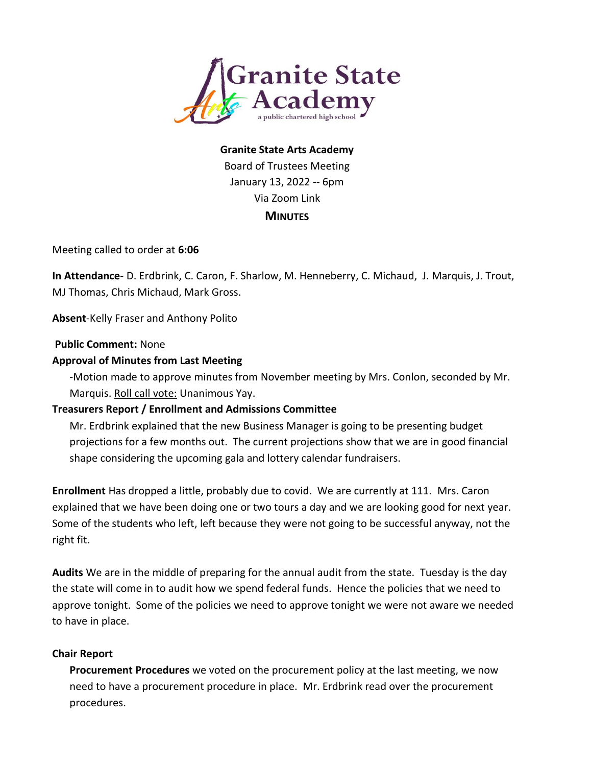

# **Granite State Arts Academy** Board of Trustees Meeting January 13, 2022 -- 6pm Via Zoom Link **MINUTES**

Meeting called to order at **6:06**

**In Attendance**- D. Erdbrink, C. Caron, F. Sharlow, M. Henneberry, C. Michaud, J. Marquis, J. Trout, MJ Thomas, Chris Michaud, Mark Gross.

**Absent**-Kelly Fraser and Anthony Polito

#### **Public Comment:** None

#### **Approval of Minutes from Last Meeting**

-Motion made to approve minutes from November meeting by Mrs. Conlon, seconded by Mr. Marquis. Roll call vote: Unanimous Yay.

#### **Treasurers Report / Enrollment and Admissions Committee**

Mr. Erdbrink explained that the new Business Manager is going to be presenting budget projections for a few months out. The current projections show that we are in good financial shape considering the upcoming gala and lottery calendar fundraisers.

**Enrollment** Has dropped a little, probably due to covid. We are currently at 111. Mrs. Caron explained that we have been doing one or two tours a day and we are looking good for next year. Some of the students who left, left because they were not going to be successful anyway, not the right fit.

**Audits** We are in the middle of preparing for the annual audit from the state. Tuesday is the day the state will come in to audit how we spend federal funds. Hence the policies that we need to approve tonight. Some of the policies we need to approve tonight we were not aware we needed to have in place.

#### **Chair Report**

**Procurement Procedures** we voted on the procurement policy at the last meeting, we now need to have a procurement procedure in place. Mr. Erdbrink read over the procurement procedures.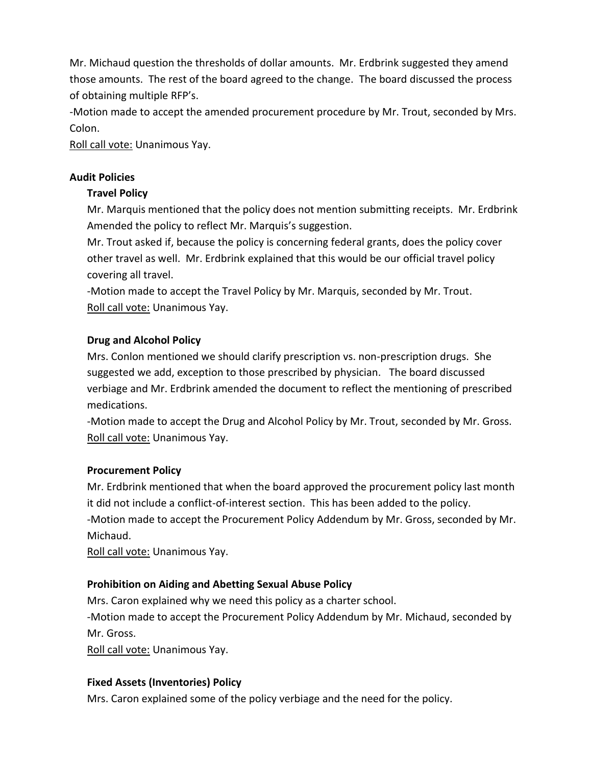Mr. Michaud question the thresholds of dollar amounts. Mr. Erdbrink suggested they amend those amounts. The rest of the board agreed to the change. The board discussed the process of obtaining multiple RFP's.

-Motion made to accept the amended procurement procedure by Mr. Trout, seconded by Mrs. Colon.

Roll call vote: Unanimous Yay.

# **Audit Policies**

# **Travel Policy**

Mr. Marquis mentioned that the policy does not mention submitting receipts. Mr. Erdbrink Amended the policy to reflect Mr. Marquis's suggestion.

Mr. Trout asked if, because the policy is concerning federal grants, does the policy cover other travel as well. Mr. Erdbrink explained that this would be our official travel policy covering all travel.

-Motion made to accept the Travel Policy by Mr. Marquis, seconded by Mr. Trout. Roll call vote: Unanimous Yay.

# **Drug and Alcohol Policy**

Mrs. Conlon mentioned we should clarify prescription vs. non-prescription drugs. She suggested we add, exception to those prescribed by physician. The board discussed verbiage and Mr. Erdbrink amended the document to reflect the mentioning of prescribed medications.

-Motion made to accept the Drug and Alcohol Policy by Mr. Trout, seconded by Mr. Gross. Roll call vote: Unanimous Yay.

# **Procurement Policy**

Mr. Erdbrink mentioned that when the board approved the procurement policy last month it did not include a conflict-of-interest section. This has been added to the policy. -Motion made to accept the Procurement Policy Addendum by Mr. Gross, seconded by Mr. Michaud.

Roll call vote: Unanimous Yay.

# **Prohibition on Aiding and Abetting Sexual Abuse Policy**

Mrs. Caron explained why we need this policy as a charter school.

-Motion made to accept the Procurement Policy Addendum by Mr. Michaud, seconded by Mr. Gross.

Roll call vote: Unanimous Yay.

# **Fixed Assets (Inventories) Policy**

Mrs. Caron explained some of the policy verbiage and the need for the policy.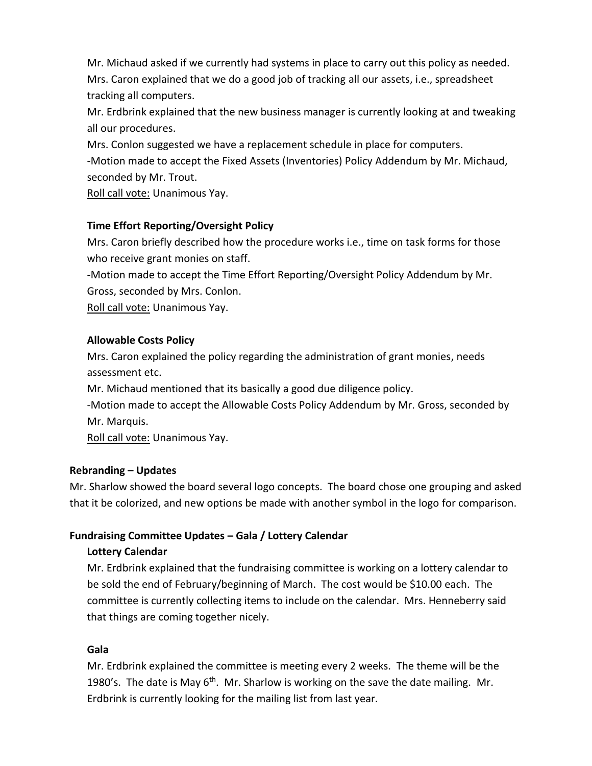Mr. Michaud asked if we currently had systems in place to carry out this policy as needed. Mrs. Caron explained that we do a good job of tracking all our assets, i.e., spreadsheet tracking all computers.

Mr. Erdbrink explained that the new business manager is currently looking at and tweaking all our procedures.

Mrs. Conlon suggested we have a replacement schedule in place for computers. -Motion made to accept the Fixed Assets (Inventories) Policy Addendum by Mr. Michaud, seconded by Mr. Trout.

Roll call vote: Unanimous Yay.

# **Time Effort Reporting/Oversight Policy**

Mrs. Caron briefly described how the procedure works i.e., time on task forms for those who receive grant monies on staff.

-Motion made to accept the Time Effort Reporting/Oversight Policy Addendum by Mr. Gross, seconded by Mrs. Conlon.

Roll call vote: Unanimous Yay.

# **Allowable Costs Policy**

Mrs. Caron explained the policy regarding the administration of grant monies, needs assessment etc.

Mr. Michaud mentioned that its basically a good due diligence policy.

-Motion made to accept the Allowable Costs Policy Addendum by Mr. Gross, seconded by Mr. Marquis.

Roll call vote: Unanimous Yay.

### **Rebranding – Updates**

Mr. Sharlow showed the board several logo concepts. The board chose one grouping and asked that it be colorized, and new options be made with another symbol in the logo for comparison.

### **Fundraising Committee Updates – Gala / Lottery Calendar**

### **Lottery Calendar**

Mr. Erdbrink explained that the fundraising committee is working on a lottery calendar to be sold the end of February/beginning of March. The cost would be \$10.00 each. The committee is currently collecting items to include on the calendar. Mrs. Henneberry said that things are coming together nicely.

### **Gala**

Mr. Erdbrink explained the committee is meeting every 2 weeks. The theme will be the 1980's. The date is May  $6<sup>th</sup>$ . Mr. Sharlow is working on the save the date mailing. Mr. Erdbrink is currently looking for the mailing list from last year.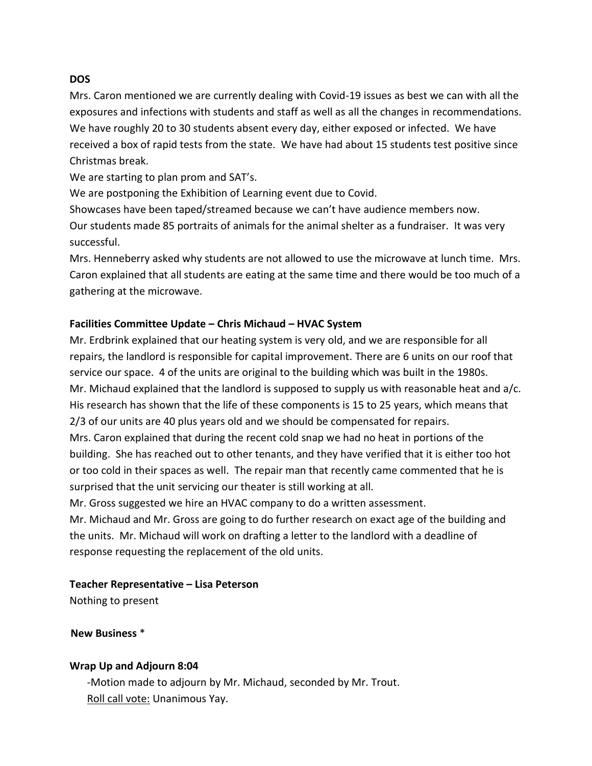#### **DOS**

Mrs. Caron mentioned we are currently dealing with Covid-19 issues as best we can with all the exposures and infections with students and staff as well as all the changes in recommendations. We have roughly 20 to 30 students absent every day, either exposed or infected. We have received a box of rapid tests from the state. We have had about 15 students test positive since Christmas break.

We are starting to plan prom and SAT's.

We are postponing the Exhibition of Learning event due to Covid.

Showcases have been taped/streamed because we can't have audience members now. Our students made 85 portraits of animals for the animal shelter as a fundraiser. It was very successful.

Mrs. Henneberry asked why students are not allowed to use the microwave at lunch time. Mrs. Caron explained that all students are eating at the same time and there would be too much of a gathering at the microwave.

# **Facilities Committee Update – Chris Michaud – HVAC System**

Mr. Erdbrink explained that our heating system is very old, and we are responsible for all repairs, the landlord is responsible for capital improvement. There are 6 units on our roof that service our space. 4 of the units are original to the building which was built in the 1980s. Mr. Michaud explained that the landlord is supposed to supply us with reasonable heat and a/c. His research has shown that the life of these components is 15 to 25 years, which means that 2/3 of our units are 40 plus years old and we should be compensated for repairs.

Mrs. Caron explained that during the recent cold snap we had no heat in portions of the building. She has reached out to other tenants, and they have verified that it is either too hot or too cold in their spaces as well. The repair man that recently came commented that he is surprised that the unit servicing our theater is still working at all.

Mr. Gross suggested we hire an HVAC company to do a written assessment.

Mr. Michaud and Mr. Gross are going to do further research on exact age of the building and the units. Mr. Michaud will work on drafting a letter to the landlord with a deadline of response requesting the replacement of the old units.

### **Teacher Representative – Lisa Peterson**

Nothing to present

**New Business** \*

### **Wrap Up and Adjourn 8:04**

-Motion made to adjourn by Mr. Michaud, seconded by Mr. Trout. Roll call vote: Unanimous Yay.